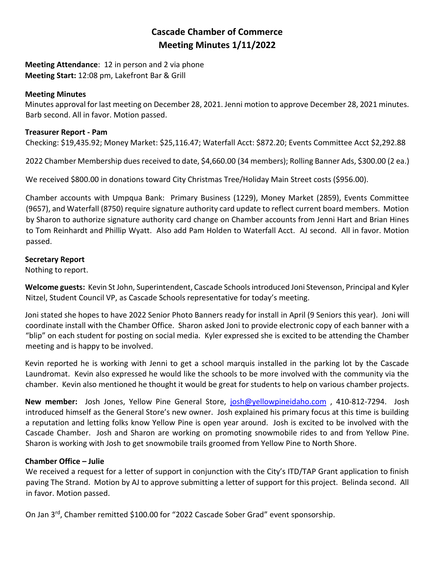# **Cascade Chamber of Commerce Meeting Minutes 1/11/2022**

**Meeting Attendance**: 12 in person and 2 via phone **Meeting Start:** 12:08 pm, Lakefront Bar & Grill

## **Meeting Minutes**

Minutes approval for last meeting on December 28, 2021. Jenni motion to approve December 28, 2021 minutes. Barb second. All in favor. Motion passed.

#### **Treasurer Report - Pam**

Checking: \$19,435.92; Money Market: \$25,116.47; Waterfall Acct: \$872.20; Events Committee Acct \$2,292.88

2022 Chamber Membership dues received to date, \$4,660.00 (34 members); Rolling Banner Ads, \$300.00 (2 ea.)

We received \$800.00 in donations toward City Christmas Tree/Holiday Main Street costs (\$956.00).

Chamber accounts with Umpqua Bank: Primary Business (1229), Money Market (2859), Events Committee (9657), and Waterfall (8750) require signature authority card update to reflect current board members. Motion by Sharon to authorize signature authority card change on Chamber accounts from Jenni Hart and Brian Hines to Tom Reinhardt and Phillip Wyatt. Also add Pam Holden to Waterfall Acct. AJ second. All in favor. Motion passed.

## **Secretary Report**

Nothing to report.

**Welcome guests:** Kevin St John, Superintendent, Cascade Schools introduced Joni Stevenson, Principal and Kyler Nitzel, Student Council VP, as Cascade Schools representative for today's meeting.

Joni stated she hopes to have 2022 Senior Photo Banners ready for install in April (9 Seniors this year). Joni will coordinate install with the Chamber Office. Sharon asked Joni to provide electronic copy of each banner with a "blip" on each student for posting on social media. Kyler expressed she is excited to be attending the Chamber meeting and is happy to be involved.

Kevin reported he is working with Jenni to get a school marquis installed in the parking lot by the Cascade Laundromat. Kevin also expressed he would like the schools to be more involved with the community via the chamber. Kevin also mentioned he thought it would be great for students to help on various chamber projects.

**New member:** Josh Jones, Yellow Pine General Store, [josh@yellowpineidaho.com](mailto:josh@yellowpineidaho.com) , 410-812-7294. Josh introduced himself as the General Store's new owner. Josh explained his primary focus at this time is building a reputation and letting folks know Yellow Pine is open year around. Josh is excited to be involved with the Cascade Chamber. Josh and Sharon are working on promoting snowmobile rides to and from Yellow Pine. Sharon is working with Josh to get snowmobile trails groomed from Yellow Pine to North Shore.

## **Chamber Office – Julie**

We received a request for a letter of support in conjunction with the City's ITD/TAP Grant application to finish paving The Strand. Motion by AJ to approve submitting a letter of support for this project. Belinda second. All in favor. Motion passed.

On Jan 3<sup>rd</sup>, Chamber remitted \$100.00 for "2022 Cascade Sober Grad" event sponsorship.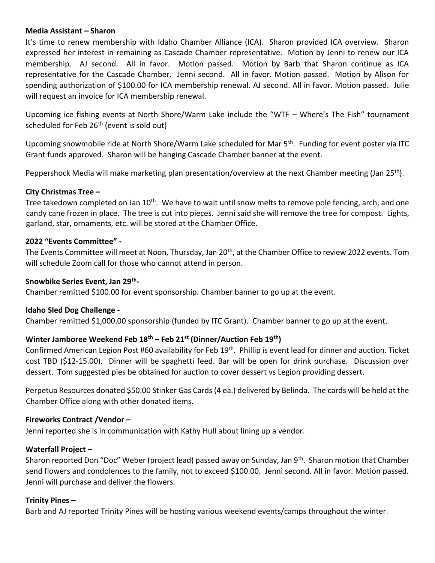## **Media Assistant – Sharon**

It's time to renew membership with Idaho Chamber Alliance (ICA). Sharon provided ICA overview. Sharon expressed her interest in remaining as Cascade Chamber representative. Motion by Jenni to renew our ICA membership. AJ second. All in favor. Motion passed. Motion by Barb that Sharon continue as ICA representative for the Cascade Chamber. Jenni second. All in favor. Motion passed. Motion by Alison for spending authorization of \$100.00 for ICA membership renewal. AJ second. All in favor. Motion passed. Julie will request an invoice for ICA membership renewal.

Upcoming ice fishing events at North Shore/Warm Lake include the "WTF – Where's The Fish" tournament scheduled for Feb  $26<sup>th</sup>$  (event is sold out)

Upcoming snowmobile ride at North Shore/Warm Lake scheduled for Mar 5<sup>th</sup>. Funding for event poster via ITC Grant funds approved. Sharon will be hanging Cascade Chamber banner at the event.

Peppershock Media will make marketing plan presentation/overview at the next Chamber meeting (Jan 25<sup>th</sup>).

## **City Christmas Tree –**

Tree takedown completed on Jan 10<sup>th</sup>. We have to wait until snow melts to remove pole fencing, arch, and one candy cane frozen in place. The tree is cut into pieces. Jenni said she will remove the tree for compost. Lights, garland, star, ornaments, etc. will be stored at the Chamber Office.

#### **2022 "Events Committee" -**

The Events Committee will meet at Noon, Thursday, Jan 20<sup>th</sup>, at the Chamber Office to review 2022 events. Tom will schedule Zoom call for those who cannot attend in person.

## **Snowbike Series Event, Jan 29th -**

Chamber remitted \$100.00 for event sponsorship. Chamber banner to go up at the event.

## **Idaho Sled Dog Challenge -**

Chamber remitted \$1,000.00 sponsorship (funded by ITC Grant). Chamber banner to go up at the event.

# **Winter Jamboree Weekend Feb 18th – Feb 21st (Dinner/Auction Feb 19th)**

Confirmed American Legion Post #60 availability for Feb 19<sup>th</sup>. Phillip is event lead for dinner and auction. Ticket cost TBD (\$12-15.00). Dinner will be spaghetti feed. Bar will be open for drink purchase. Discussion over dessert. Tom suggested pies be obtained for auction to cover dessert vs Legion providing dessert.

Perpetua Resources donated \$50.00 Stinker Gas Cards (4 ea.) delivered by Belinda. The cards will be held at the Chamber Office along with other donated items.

#### **Fireworks Contract /Vendor –**

Jenni reported she is in communication with Kathy Hull about lining up a vendor.

## **Waterfall Project –**

Sharon reported Don "Doc" Weber (project lead) passed away on Sunday, Jan 9<sup>th</sup>. Sharon motion that Chamber send flowers and condolences to the family, not to exceed \$100.00. Jenni second. All in favor. Motion passed. Jenni will purchase and deliver the flowers.

#### **Trinity Pines –**

Barb and AJ reported Trinity Pines will be hosting various weekend events/camps throughout the winter.